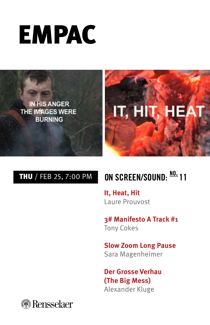



# THU / FEB 25, 7:00 PM **ON SCREEN/SOUND: no. 11**

**It, Heat, Hit**  Laure Prouvost

**3# Manifesto A Track #1**  Tony Cokes

**Slow Zoom Long Pause**  Sara Magenheimer

**Der Grosse Verhau (The Big Mess)**  Alexander Kluge

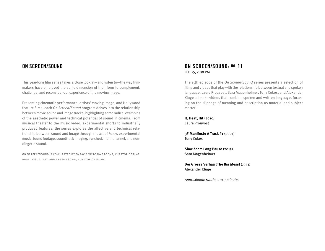### **ON SCREEN/SOUND**

This year-long film series takes a close look at—and listen to—the way filmmakers have employed the sonic dimension of their form to complement, challenge, and reconsider our experience of the moving image.

Presenting cinematic performance, artists' moving image, and Hollywood feature films, each On Screen/Sound program delves into the relationship between movie sound and image tracks, highlighting some radical examples of the aesthetic power and technical potential of sound in cinema. From musical theater to the music video, experimental shorts to industrially produced features, the series explores the affective and technical relationship between sound and image through the art of Foley, experimental music, found footage, soundtrack imaging, synched, multi-channel, and nondiegetic sound.

**on screen/sound** is co-curated by empac's victoria brooks, curator of time based visual art, and argeo ascani, curator of music.

#### **ON SCREEN/SOUND: no. 11**  FEB 25, 7:00 PM

The 11th episode of the On Screen/Sound series presents a selection of films and videos that play with the relationship between textual and spoken language. Laure Prouvost, Sara Magenheimer, Tony Cokes, and Alexander Kluge all make videos that combine spoken and written language, focusing on the slippage of meaning and description as material and subject matter.

**It, Heat, Hit** (2010) Laure Prouvost

**3# Manifesto A Track #1** (2001) Tony Cokes

**Slow Zoom Long Pause** (2015) Sara Magenheimer

**Der Grosse Verhau (The Big Mess)** (1971) Alexander Kluge

Approximate runtime: 110 minutes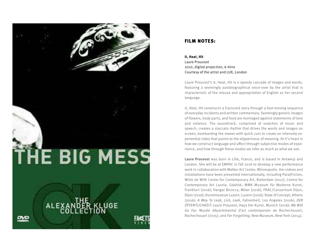

#### FILM NOTES:

**It, Heat, Hit**  Laure Prouvost 2010, digital projection, 6 mins Courtesy of the artist and LUX, London

Laure Prouvost's It, Heat, Hit is a speedy cascade of images and words, featuring a seemingly autobiographical voice-over by the artist that is characteristic of the misuse and appropriation of English as her second language.

It, Heat, Hit constructs a fractured story through a fast-moving sequence of everyday incidents and written commentary. Seemingly generic images of flowers, body parts, and food are montaged against statements of love and violence. The soundtrack, comprised of snatches of music and speech, creates a staccato rhythm that drives the words and images on screen, bombarding the viewer with quick cuts to create an intensely experiential video that points to the slipperiness of meaning. At it's heart is how we construct language and affect through subjective modes of experience, and how through these modes we infer as much as what we see.

**Laure Prouvost** was born in Lille, France, and is based in Antwerp and London. She will be at EMPAC in fall 2016 to develop a new performance work in collaboration with Walker Art Center, Minneapolis. Her videos and installations have been presented internationally, including Para|Fiction, Witte de With Center for Contemporary Art, Rotterdam (2017), Centre for Contemporary Art Laznia, Gdańsk; MMK Museum für Moderne Kunst, Frankfurt (2016); Hangar Bicocca, Milan (2016); FRAC/Consortium Dijon, Dijon (2016); Kunstmuseum Luzern, Luzern (2016); State of Concept, Athens (2016); A Way To Leak, Lick, Leek, Fahrenheit, Los Angeles (2016); DER ÖFFENTLICHKEIT: Laure Prouvost, Haus Der Kunst, Munich (2016); We Will Go Far, Musée départemental d'art contemporain de Rochechouart, Rochechouart (2015); and For Forgetting, New Museum, New York (2014).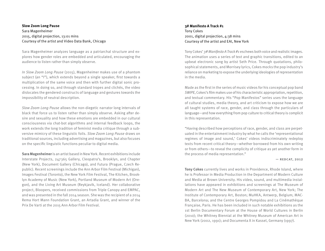#### **Slow Zoom Long Pause**  Sara Magenheimer 2015, digital projection, 13:01 mins Courtesy of the artist and Video Data Bank, Chicago

Sara Magenheimer analyzes language as a patriarchal structure and explores how gender roles are embedded and articulated, encouraging the audience to listen rather than simply observe.

In Slow Zoom Long Pause (2015), Magenheimer makes use of a phantom subject (an "I"), which extends beyond a single speaker, first towards a multiplication of the same voice and then with further digital sonic processing. In doing so, and through standard tropes and clichés, the video dislocates the gendered constructs of language and gestures towards the impossibility of neutral description.

Slow Zoom Long Pause allows the non-diegetic narrator long intervals of black that force us to listen rather than simply observe. Asking after desire and sexuality and how these emotions are embedded in our cultural consciousness via chat-bot algorithms and internal feedback loops, the work extends the long tradition of feminist media critique through a subversive mimicry of these linguistic foils. Slow Zoom Long Pause draws on traditional sources, including advertising and magazines, but also focuses on the specific linguistic functions peculiar to digital media.

**Sara Magenheimer** is an artist based in New York. Recent exhibitions include Interstate Projects, 247365 Gallery, Cleopatra's, Brooklyn, and Chapter (New York), Document Gallery (Chicago), and Futura (Prague, Czech Republic). Recent screenings include the Ann Arbor Film Festival (Michigan), Images Festival (Toronto), the New York Film Festival, The Kitchen, Brooklyn Academy of Music (New York), Portland Museum of Modern Art (Oregon), and the Living Art Museum (Reykjavik, Iceland). Her collaborative project, Bloopers, received commissions from Triple Canopy and EMPAC, and was presented in the fall 2014 season. She was the recipient of a 2014 Rema Hort Mann Foundation Grant, an Artadia Grant, and winner of the Prix De Varti at the 2015 Ann Arbor Film Festival.

#### **3# Manifesto A Track #1**  Tony Cokes 2001, digital projection, 4:38 mins Courtesy of the artist and EAI, New York

Tony Cokes' 3# Manifesto A Track #1 eschews both voice and realistic images. The animation uses a series of text and graphic transitions, edited to an upbeat electronic song by artist Seth Price. Through quotations, philosophical statements, and Morrisey lyrics, Cokes mocks the pop industry's reliance on marketing to expose the underlying ideologies of representation in the media.

Made as the first in the series of music videos for his conceptual pop band SWIPE, Cokes's film makes use of his characteristic appropriation, repetition, and textual commentary. His "Pop Manifestos" series uses the language of cultural studies, media theory, and art criticism to expose how we are all taught systems of race, gender, and class through the particulars of language—and how everything from pop culture to critical theory is complicit in this representation.

"Having described how perceptions of race, gender, and class are perpetuated in the entertainment industry by what he calls the 'representational regimes of image and sound,' Cokes' videos indiscriminately redeploy texts from recent critical theory—whether borrowed from his own writing or from others—to reveal the complicity of critique as yet another form in the process of media representation."

#### $-$  REDCAT, 2012

**Tony Cokes** currently lives and works in Providence, Rhode Island, where he is Professor in Media Production in the Department of Modern Culture and Media at Brown University. His video, sound, and multimedia installations have appeared in exhibitions and screenings at The Museum of Modern Art and The New Museum of Contemporary Art, New York; The Institute of Contemporary Art, Boston; MuHKA, Antwerp, Belgium; MAC-BA, Barcelona; and the Centre Georges Pompidou and La Cinémathèque Française, Paris. He has been included in such notable exhibitions as the 1st Berlin Documentary Forum at the House of World Cultures in Berlin (2010); the Whitney Biennial at the Whitney Museum of American Art in New York (2002, 1991); and Documenta X in Kassel, Germany (1997).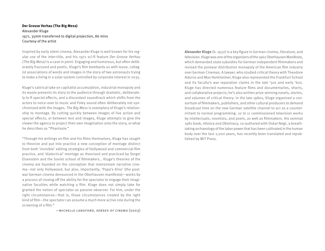#### **Der Grosse Verhau (The Big Mess)**  Alexander Kluge 1971, 35mm transferred to digital projection, 86 mins Courtesy of the artist

Inspired by early silent cinema, Alexander Kluge is well known for his regular use of the inter-title, and his 1971 sci-fi feature Der Grosse Verhau (The Big Mess) is a case in point. Engaging and humorous, but often deliberately fractured and poetic, Kluge's film bombards us with loose, collagist associations of words and images in the story of two astronauts trying to make a living in a solar system controlled by corporate interest in 2035.

Kluge's satirical take on capitalist accumulation, industrial monopoly and its waste presents its story to the audience through dramatic, deliberately lo-fi special effects, and a discordant soundtrack which shifts from the actors to voice-over to music and Foley sound often deliberately not synchronized with the images. The Big Mess is exemplary of Kluge's relationship to montage. By cutting quickly between images of live action and special effects, or between text and images, Kluge attempts to give the viewer the agency to project their own imagination onto the story, or what he describes as "Phantasie."

 right circumstances—that is, those circumstances created by the right "Through his writings on film and his films themselves, Kluge has sought to theorize and put into practice a new conception of montage distinct from both 'invisible' editing strategies of Hollywood and commercial film practice, and 'dialectical' montage as theorized and practiced by Sergei Eisenstein and the Soviet school of filmmakers… Kluge's theories of the cinema are founded on the conception that mainstream narrative cinema—not only Hollywood, but also, importantly, 'Papa's Kino' (the postwar German cinema denounced in the Oberhausen manifesto)—works by a process of closing off the ability for the spectator to engage their imaginative faculties while watching a film. Kluge does not simply take for granted the notion of spectator as passive observer. For him, under the kind of film—the spectator can assume a much more active role during the screening of a film."

—michelle langford, senses of cinema (2003)

**Alexander Kluge** (b. 1932) is a key figure in German cinema, literature, and television. Kluge was one of the organizers of the 1962 Oberhausen Manifesto, which demanded state subsidies for German independent filmmakers and revised the postwar distribution monopoly of the American film industry over German Cinemas. A lawyer, who studied critical theory with Theodore Adorno and Max Horkheimer, Kluge also represented the Frankfurt School and its faculty's war reparation claims in the late '50s and early '60s. Kluge has directed numerous feature films and documentaries, shorts, and collaborative projects; he's also written prize-winning novels, stories, and volumes of critical theory. In the late 1980s, Kluge organized a consortium of filmmakers, publishers, and other cultural producers to demand broadcast time on the new German satellite channel to act as a counterirritant to normal programming. 10 to 11 commissioned television works by intellectuals, novelists, and poets, as well as filmmakers. His seminal 1981 book, History and Obstinacy, co-authored with Oskar Negt, a breathtaking archaeology of the labor power that has been cultivated in the human body over the last 2,000 years, has recently been translated and republished by MIT Press.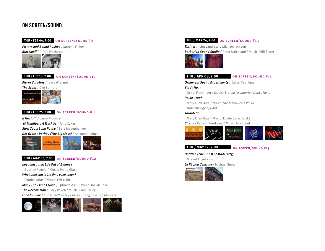### **ON SCREEN/SOUND**

#### **THU / FEB 04, 7:00** on screen/sound #9

Picture and Sound Rushes / Morgan Fisher **Blackmail** / Alfred Hitchcock



**THU / FEB 18, 7:00** on screen/sound #10

Pierre Vallières / Joyce Wieland



#### **THU / FEB 25, 7:00** on screen/sound #11

It Heat Hit / Laure Prouvost 3# Manifesto A Track #1 / Tony Cokes **Slow Zoom Long Pause / Sara Magenheimer** Der Grosse Verhau (The Big Mess) / Alexander Kluge



### **THU / MAR 03, 7:00** on screen/sound #12

Koyaanisqatsi: Life Out of Balance

Godfrey Reggio / Music: Philip Glass

What does unstable time even mean?

Charles Atlas / Music: Eric Holm

Many Thousands Gone / Ephraim Asili / Music: Joe McPhee The Deccan Trap / Lucy Raven / Music: Paul Corley Fade to Slide / Christian Marclay / Music: Bang on a Can All-Stars



#### **THU / MAR 24, 7:00** on screen/sound #13

Thriller / John Landis and Michael Jackson Berberian Sound Studio / Peter Strickland / Music: Will Slater



#### **THU / APR 08, 7:00** on screen/sound #14

Ornament Sound Experiments / Oskar Fischinger

Study No. 7 Oskar Fischinger / Music: Brahms' Hungarian Dance No. 5

Polka Graph

Mary Ellen Bute / Music: Shostakovich's Polka from The Age of Gold

#### Tarantella

Mary Ellen Bute / Music: Edwin Gerschefski

Sirens / Ryoichi Kurokawa / Music: Novi\_sad



**THU / MAY 12, 7:00** on screen/sound #15

Untitled (The Ghost of Modernity) Miguel Angel Rios

La Région Centrale / Michael Snow